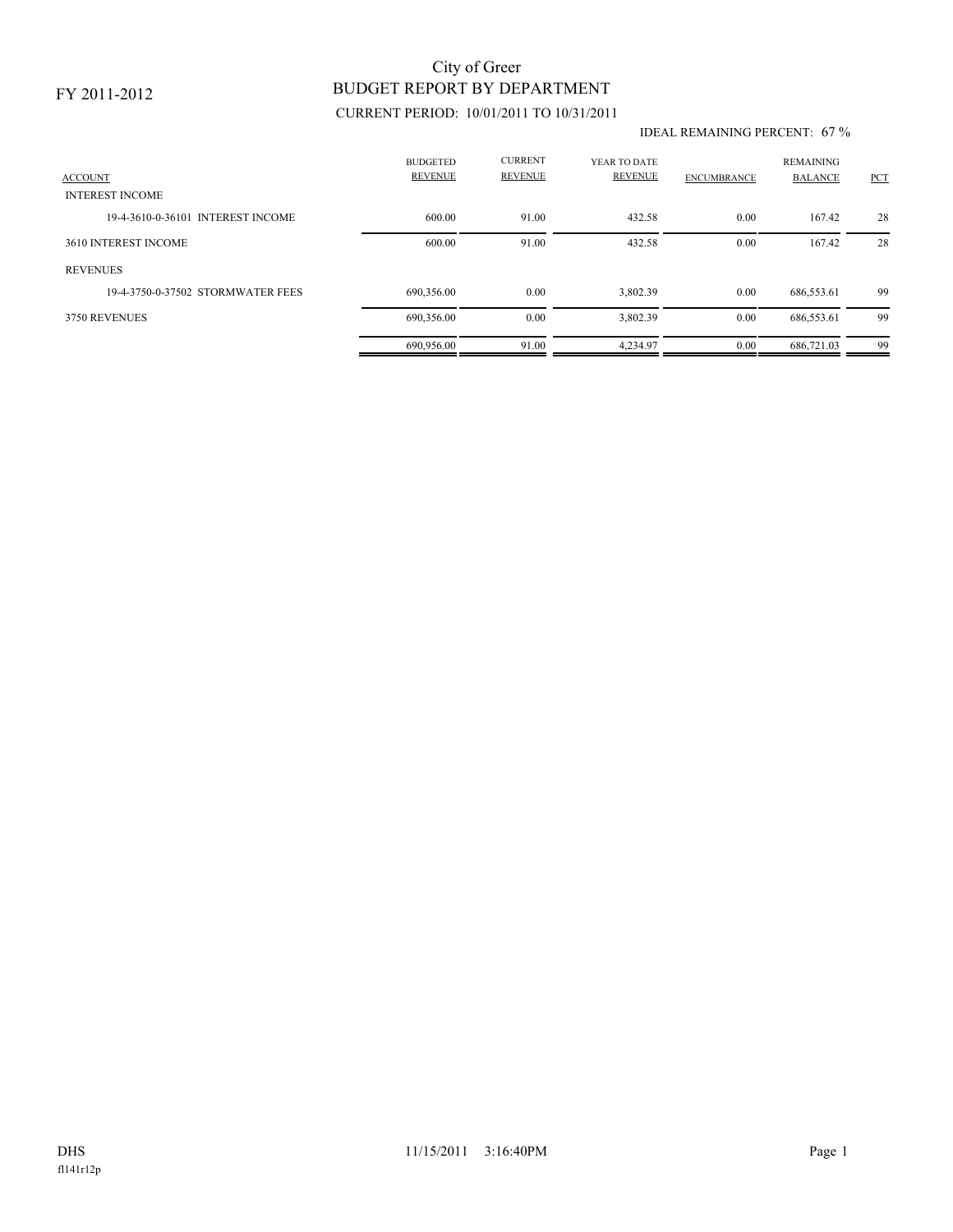### FY 2011-2012

## CURRENT PERIOD: 10/01/2011 TO 10/31/2011 BUDGET REPORT BY DEPARTMENT City of Greer

#### IDEAL REMAINING PERCENT: 67 %

| <b>ACCOUNT</b><br><b>INTEREST INCOME</b> | <b>BUDGETED</b><br><b>REVENUE</b> | <b>CURRENT</b><br><b>REVENUE</b> | YEAR TO DATE<br><b>REVENUE</b> | <b>ENCUMBRANCE</b> | <b>REMAINING</b><br><b>BALANCE</b> | PCT |
|------------------------------------------|-----------------------------------|----------------------------------|--------------------------------|--------------------|------------------------------------|-----|
|                                          |                                   |                                  |                                |                    |                                    |     |
| 19-4-3610-0-36101 INTEREST INCOME        | 600.00                            | 91.00                            | 432.58                         | 0.00               | 167.42                             | 28  |
| 3610 INTEREST INCOME                     | 600.00                            | 91.00                            | 432.58                         | 0.00               | 167.42                             | 28  |
| <b>REVENUES</b>                          |                                   |                                  |                                |                    |                                    |     |
| 19-4-3750-0-37502 STORMWATER FEES        | 690,356.00                        | 0.00                             | 3,802.39                       | 0.00               | 686,553.61                         | 99  |
| <b>3750 REVENUES</b>                     | 690,356.00                        | 0.00                             | 3,802.39                       | 0.00               | 686,553.61                         | 99  |
|                                          | 690.956.00                        | 91.00                            | 4.234.97                       | 0.00               | 686.721.03                         | 99  |